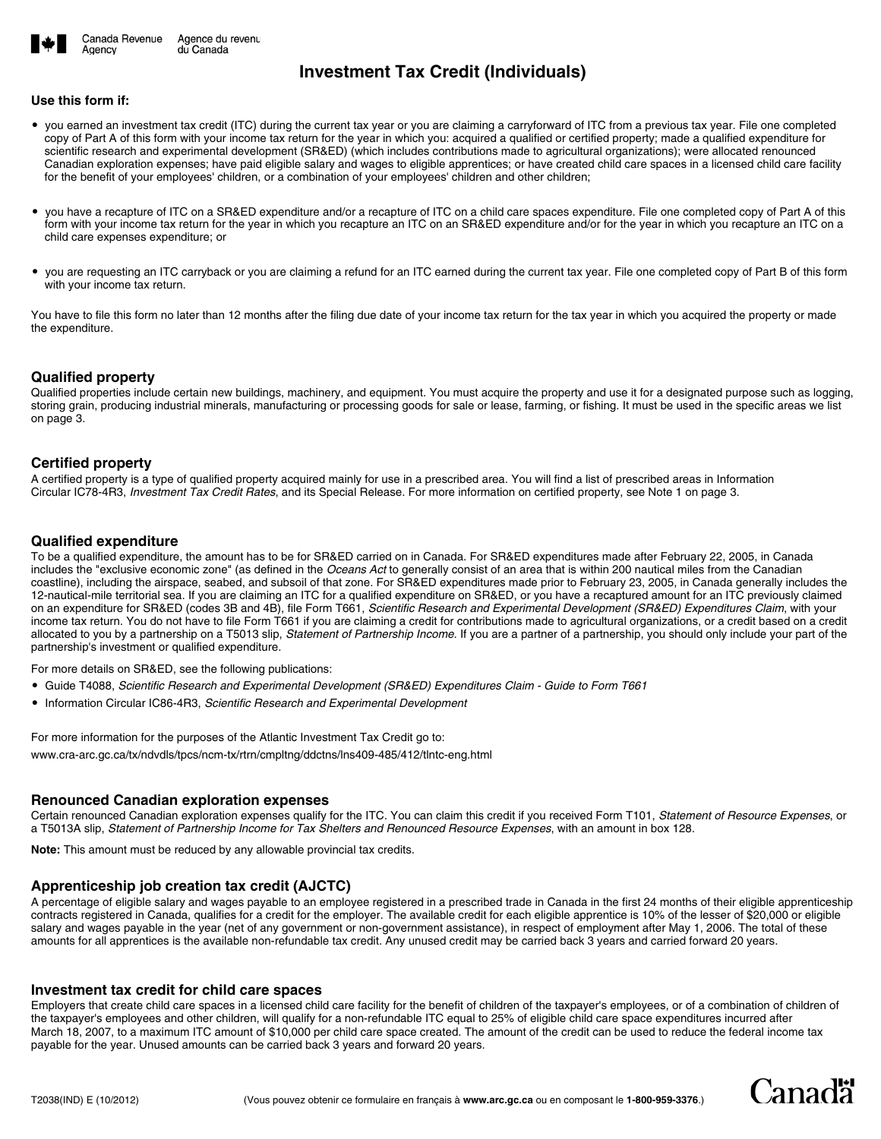

# **Investment Tax Credit (Individuals)**

### **Use this form if:**

Agency

- you earned an investment tax credit (ITC) during the current tax year or you are claiming a carryforward of ITC from a previous tax year. File one completed copy of Part A of this form with your income tax return for the year in which you: acquired a qualified or certified property; made a qualified expenditure for scientific research and experimental development (SR&ED) (which includes contributions made to agricultural organizations); were allocated renounced Canadian exploration expenses; have paid eligible salary and wages to eligible apprentices; or have created child care spaces in a licensed child care facility for the benefit of your employees' children, or a combination of your employees' children and other children;
- you have a recapture of ITC on a SR&ED expenditure and/or a recapture of ITC on a child care spaces expenditure. File one completed copy of Part A of this form with your income tax return for the year in which you recapture an ITC on an SR&ED expenditure and/or for the year in which you recapture an ITC on a child care expenses expenditure; or
- you are requesting an ITC carryback or you are claiming a refund for an ITC earned during the current tax year. File one completed copy of Part B of this form with your income tax return.

You have to file this form no later than 12 months after the filing due date of your income tax return for the tax year in which you acquired the property or made the expenditure.

### **Qualified property**

Qualified properties include certain new buildings, machinery, and equipment. You must acquire the property and use it for a designated purpose such as logging, storing grain, producing industrial minerals, manufacturing or processing goods for sale or lease, farming, or fishing. It must be used in the specific areas we list on page 3.

## **Certified property**

A certified property is a type of qualified property acquired mainly for use in a prescribed area. You will find a list of prescribed areas in Information Circular IC78-4R3, *Investment Tax Credit Rates*, and its Special Release. For more information on certified property, see Note 1 on page 3.

### **Qualified expenditure**

To be a qualified expenditure, the amount has to be for SR&ED carried on in Canada. For SR&ED expenditures made after February 22, 2005, in Canada includes the "exclusive economic zone" (as defined in the *Oceans Act* to generally consist of an area that is within 200 nautical miles from the Canadian coastline), including the airspace, seabed, and subsoil of that zone. For SR&ED expenditures made prior to February 23, 2005, in Canada generally includes the 12-nautical-mile territorial sea. If you are claiming an ITC for a qualified expenditure on SR&ED, or you have a recaptured amount for an ITC previously claimed on an expenditure for SR&ED (codes 3B and 4B), file Form T661, *Scientific Research and Experimental Development (SR&ED) Expenditures Claim*, with your income tax return. You do not have to file Form T661 if you are claiming a credit for contributions made to agricultural organizations, or a credit based on a credit allocated to you by a partnership on a T5013 slip, *Statement of Partnership Income*. If you are a partner of a partnership, you should only include your part of the partnership's investment or qualified expenditure.

For more details on SR&ED, see the following publications:

- Guide T4088, *Scientific Research and Experimental Development (SR&ED) Expenditures Claim Guide to Form T661*
- Information Circular IC86-4R3, *Scientific Research and Experimental Development*

For more information for the purposes of the Atlantic Investment Tax Credit go to: www.cra-arc.gc.ca/tx/ndvdls/tpcs/ncm-tx/rtrn/cmpltng/ddctns/lns409-485/412/tlntc-eng.html

## **Renounced Canadian exploration expenses**

Certain renounced Canadian exploration expenses qualify for the ITC. You can claim this credit if you received Form T101, *Statement of Resource Expenses*, or a T5013A slip, *Statement of Partnership Income for Tax Shelters and Renounced Resource Expenses*, with an amount in box 128.

**Note:** This amount must be reduced by any allowable provincial tax credits.

## **Apprenticeship job creation tax credit (AJCTC)**

A percentage of eligible salary and wages payable to an employee registered in a prescribed trade in Canada in the first 24 months of their eligible apprenticeship contracts registered in Canada, qualifies for a credit for the employer. The available credit for each eligible apprentice is 10% of the lesser of \$20,000 or eligible salary and wages payable in the year (net of any government or non-government assistance), in respect of employment after May 1, 2006. The total of these amounts for all apprentices is the available non-refundable tax credit. Any unused credit may be carried back 3 years and carried forward 20 years.

### **Investment tax credit for child care spaces**

Employers that create child care spaces in a licensed child care facility for the benefit of children of the taxpayer's employees, or of a combination of children of the taxpayer's employees and other children, will qualify for a non-refundable ITC equal to 25% of eligible child care space expenditures incurred after March 18, 2007, to a maximum ITC amount of \$10,000 per child care space created. The amount of the credit can be used to reduce the federal income tax payable for the year. Unused amounts can be carried back 3 years and forward 20 years.

Canadä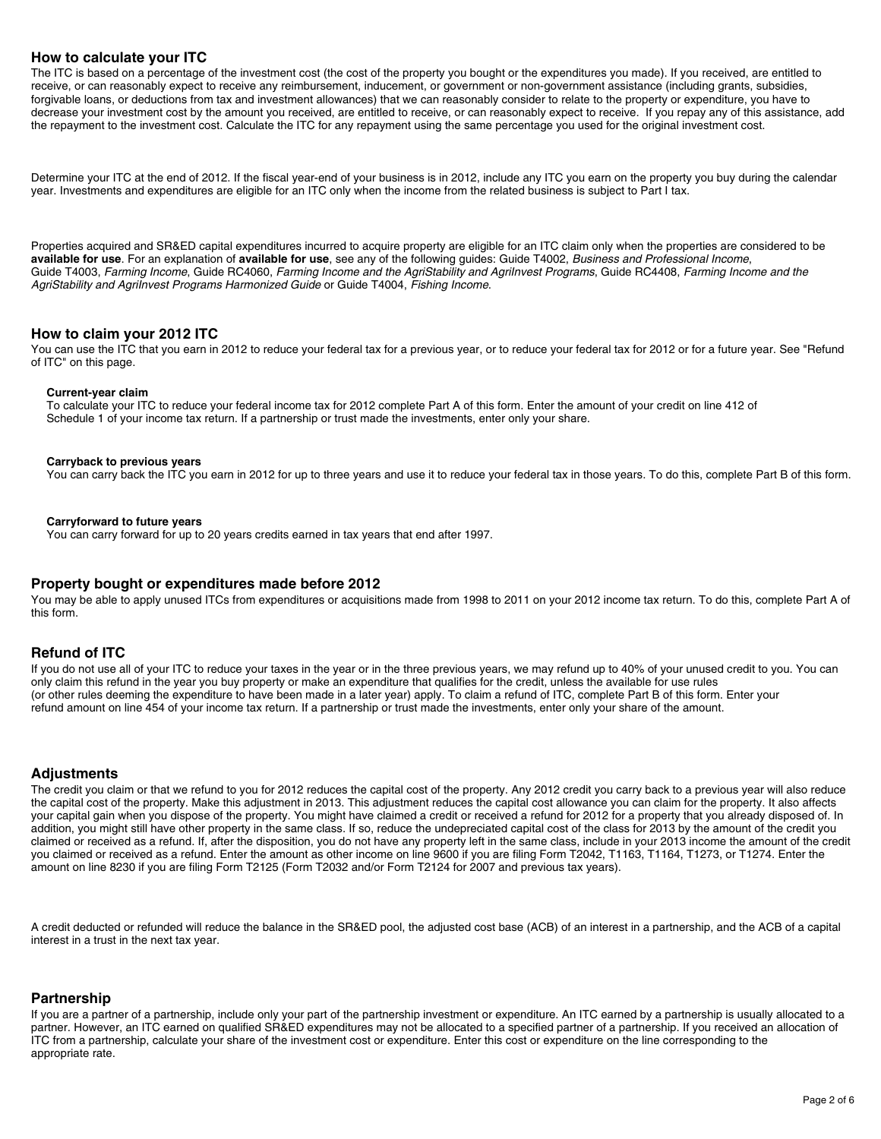## **How to calculate your ITC**

The ITC is based on a percentage of the investment cost (the cost of the property you bought or the expenditures you made). If you received, are entitled to receive, or can reasonably expect to receive any reimbursement, inducement, or government or non-government assistance (including grants, subsidies, forgivable loans, or deductions from tax and investment allowances) that we can reasonably consider to relate to the property or expenditure, you have to decrease your investment cost by the amount you received, are entitled to receive, or can reasonably expect to receive. If you repay any of this assistance, add the repayment to the investment cost. Calculate the ITC for any repayment using the same percentage you used for the original investment cost.

Determine your ITC at the end of 2012. If the fiscal year-end of your business is in 2012, include any ITC you earn on the property you buy during the calendar year. Investments and expenditures are eligible for an ITC only when the income from the related business is subject to Part I tax.

Properties acquired and SR&ED capital expenditures incurred to acquire property are eligible for an ITC claim only when the properties are considered to be **available for use**. For an explanation of **available for use**, see any of the following guides: Guide T4002, *Business and Professional Income*, Guide T4003, *Farming Income*, Guide RC4060, *Farming Income and the AgriStability and AgriInvest Programs*, Guide RC4408, *Farming Income and the AgriStability and AgriInvest Programs Harmonized Guide* or Guide T4004, *Fishing Income*.

### **How to claim your 2012 ITC**

You can use the ITC that you earn in 2012 to reduce your federal tax for a previous year, or to reduce your federal tax for 2012 or for a future year. See "Refund of ITC" on this page.

#### **Current-year claim**

To calculate your ITC to reduce your federal income tax for 2012 complete Part A of this form. Enter the amount of your credit on line 412 of Schedule 1 of your income tax return. If a partnership or trust made the investments, enter only your share.

#### **Carryback to previous years**

You can carry back the ITC you earn in 2012 for up to three years and use it to reduce your federal tax in those years. To do this, complete Part B of this form.

#### **Carryforward to future years**

You can carry forward for up to 20 years credits earned in tax years that end after 1997.

### **Property bought or expenditures made before 2012**

You may be able to apply unused ITCs from expenditures or acquisitions made from 1998 to 2011 on your 2012 income tax return. To do this, complete Part A of this form.

## **Refund of ITC**

If you do not use all of your ITC to reduce your taxes in the year or in the three previous years, we may refund up to 40% of your unused credit to you. You can only claim this refund in the year you buy property or make an expenditure that qualifies for the credit, unless the available for use rules (or other rules deeming the expenditure to have been made in a later year) apply. To claim a refund of ITC, complete Part B of this form. Enter your refund amount on line 454 of your income tax return. If a partnership or trust made the investments, enter only your share of the amount.

## **Adjustments**

The credit you claim or that we refund to you for 2012 reduces the capital cost of the property. Any 2012 credit you carry back to a previous year will also reduce the capital cost of the property. Make this adjustment in 2013. This adjustment reduces the capital cost allowance you can claim for the property. It also affects your capital gain when you dispose of the property. You might have claimed a credit or received a refund for 2012 for a property that you already disposed of. In addition, you might still have other property in the same class. If so, reduce the undepreciated capital cost of the class for 2013 by the amount of the credit you claimed or received as a refund. If, after the disposition, you do not have any property left in the same class, include in your 2013 income the amount of the credit you claimed or received as a refund. Enter the amount as other income on line 9600 if you are filing Form T2042, T1163, T1164, T1273, or T1274. Enter the amount on line 8230 if you are filing Form T2125 (Form T2032 and/or Form T2124 for 2007 and previous tax years).

A credit deducted or refunded will reduce the balance in the SR&ED pool, the adjusted cost base (ACB) of an interest in a partnership, and the ACB of a capital interest in a trust in the next tax year.

### **Partnership**

If you are a partner of a partnership, include only your part of the partnership investment or expenditure. An ITC earned by a partnership is usually allocated to a partner. However, an ITC earned on qualified SR&ED expenditures may not be allocated to a specified partner of a partnership. If you received an allocation of ITC from a partnership, calculate your share of the investment cost or expenditure. Enter this cost or expenditure on the line corresponding to the appropriate rate.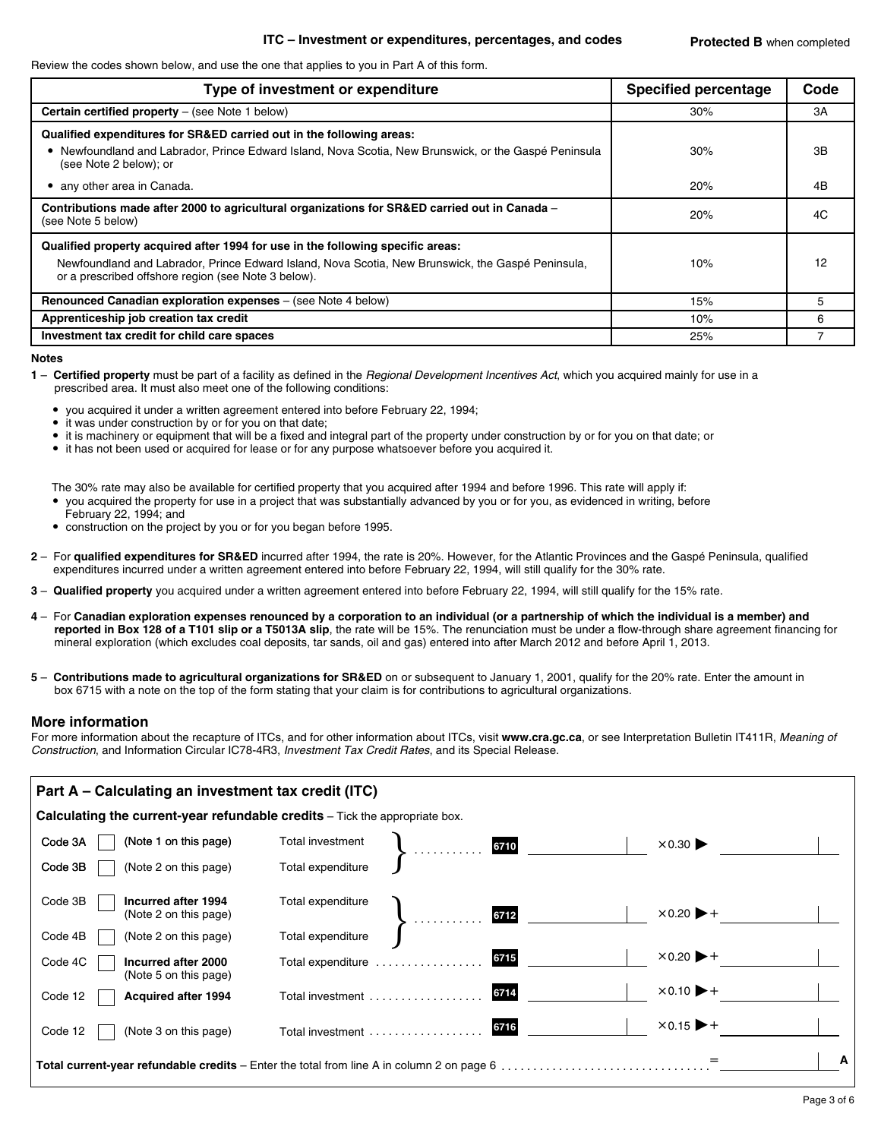### **ITC – Investment or expenditures, percentages, and codes**

Review the codes shown below, and use the one that applies to you in Part A of this form.

| Type of investment or expenditure                                                                                                                                                                                                           | <b>Specified percentage</b> | Code |
|---------------------------------------------------------------------------------------------------------------------------------------------------------------------------------------------------------------------------------------------|-----------------------------|------|
| <b>Certain certified property</b> $-$ (see Note 1 below)                                                                                                                                                                                    | 30%                         | 3A   |
| Qualified expenditures for SR&ED carried out in the following areas:<br>• Newfoundland and Labrador, Prince Edward Island, Nova Scotia, New Brunswick, or the Gaspé Peninsula<br>(see Note 2 below); or                                     | 30%                         | 3B   |
| • any other area in Canada.                                                                                                                                                                                                                 | 20%                         | 4B   |
| Contributions made after 2000 to agricultural organizations for SR&ED carried out in Canada –<br>(see Note 5 below)                                                                                                                         | 20%                         | 4C   |
| Qualified property acquired after 1994 for use in the following specific areas:<br>Newfoundland and Labrador, Prince Edward Island, Nova Scotia, New Brunswick, the Gaspé Peninsula,<br>or a prescribed offshore region (see Note 3 below). | 10%                         | 12   |
| Renounced Canadian exploration expenses – (see Note 4 below)                                                                                                                                                                                | 15%                         | 5    |
| Apprenticeship job creation tax credit                                                                                                                                                                                                      | 10%                         | 6    |
| Investment tax credit for child care spaces                                                                                                                                                                                                 | 25%                         |      |

#### **Notes**

- **1 Certified property** must be part of a facility as defined in the *Regional Development Incentives Act*, which you acquired mainly for use in a prescribed area. It must also meet one of the following conditions:
	- you acquired it under a written agreement entered into before February 22, 1994;
	- it was under construction by or for you on that date;
	- it is machinery or equipment that will be a fixed and integral part of the property under construction by or for you on that date; or
	- it has not been used or acquired for lease or for any purpose whatsoever before you acquired it.

The 30% rate may also be available for certified property that you acquired after 1994 and before 1996. This rate will apply if:

- you acquired the property for use in a project that was substantially advanced by you or for you, as evidenced in writing, before
- February 22, 1994; and
- construction on the project by you or for you began before 1995.
- **2** For **qualified expenditures for SR&ED** incurred after 1994, the rate is 20%. However, for the Atlantic Provinces and the Gaspé Peninsula, qualified expenditures incurred under a written agreement entered into before February 22, 1994, will still qualify for the 30% rate.
- **3 Qualified property** you acquired under a written agreement entered into before February 22, 1994, will still qualify for the 15% rate.
- **4** For **Canadian exploration expenses renounced by a corporation to an individual (or a partnership of which the individual is a member) and reported in Box 128 of a T101 slip or a T5013A slip**, the rate will be 15%. The renunciation must be under a flow-through share agreement financing for mineral exploration (which excludes coal deposits, tar sands, oil and gas) entered into after March 2012 and before April 1, 2013.
- **5 Contributions made to agricultural organizations for SR&ED** on or subsequent to January 1, 2001, qualify for the 20% rate. Enter the amount in box 6715 with a note on the top of the form stating that your claim is for contributions to agricultural organizations.

### **More information**

For more information about the recapture of ITCs, and for other information about ITCs, visit **www.cra.gc.ca**, or see Interpretation Bulletin IT411R, *Meaning of Construction*, and Information Circular IC78-4R3, *Investment Tax Credit Rates*, and its Special Release.

| Part A – Calculating an investment tax credit (ITC) |                                                                                                  |                   |        |      |                                       |  |  |
|-----------------------------------------------------|--------------------------------------------------------------------------------------------------|-------------------|--------|------|---------------------------------------|--|--|
|                                                     | <b>Calculating the current-year refundable credits</b> – Tick the appropriate box.               |                   |        |      |                                       |  |  |
| Code 3A                                             | (Note 1 on this page)                                                                            | Total investment  | . 6710 |      | $\times 0.30$                         |  |  |
| Code 3B                                             | (Note 2 on this page)                                                                            | Total expenditure |        |      |                                       |  |  |
| Code 3B                                             | Incurred after 1994<br>(Note 2 on this page)                                                     | Total expenditure |        | 6712 | $\times 0.20$ $\blacktriangleright$ + |  |  |
| Code 4B                                             | (Note 2 on this page)                                                                            | Total expenditure |        |      |                                       |  |  |
| Code 4C                                             | Incurred after 2000<br>(Note 5 on this page)                                                     | Total expenditure |        | 6715 | $\times 0.20$ $\blacktriangleright$ + |  |  |
| Code 12                                             | <b>Acquired after 1994</b>                                                                       | Total investment  |        | 6714 | $\times 0.10$ $\blacktriangleright$ + |  |  |
| Code 12                                             | (Note 3 on this page)                                                                            | Total investment  |        | 6716 | $\times 0.15$ $\blacktriangleright$ + |  |  |
|                                                     | <b>Total current-year refundable credits</b> – Enter the total from line A in column 2 on page 6 |                   |        |      |                                       |  |  |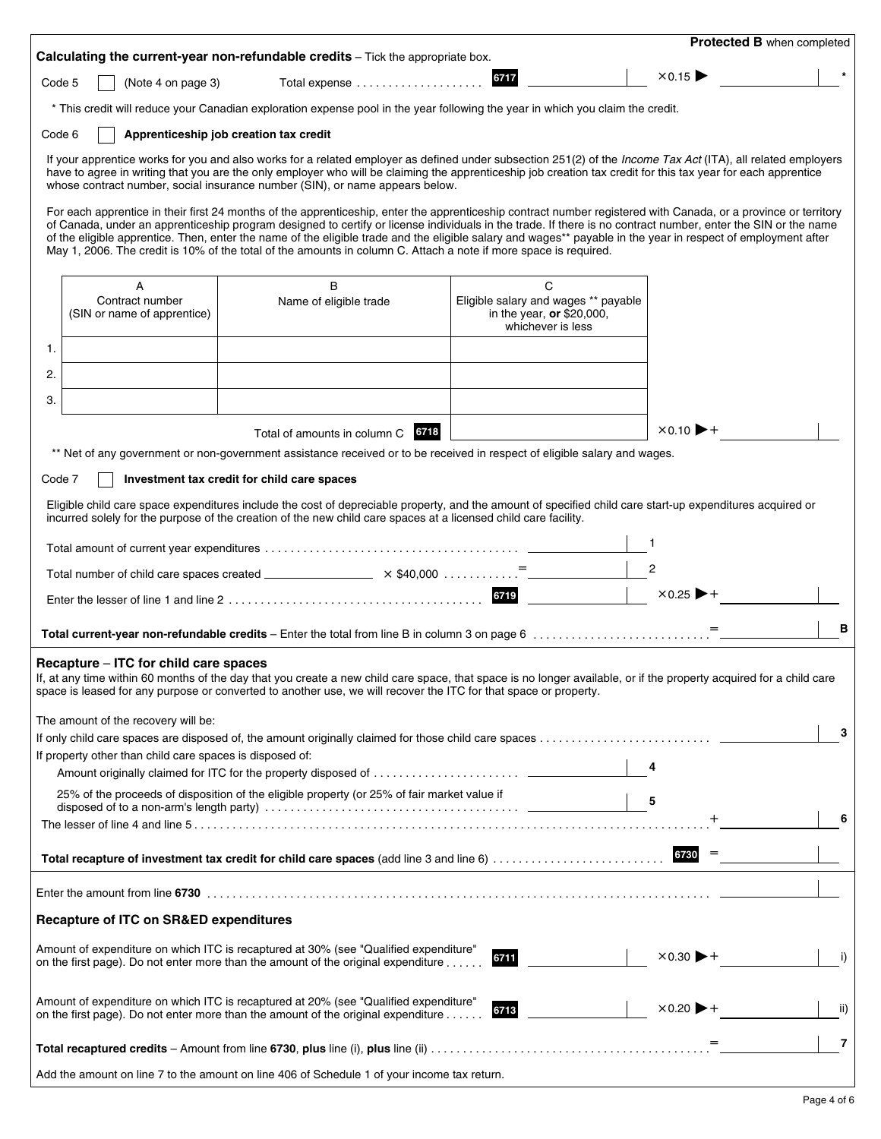|        |                                                          |                                                                                                                                                                                                                                                                                                                                                                                                                                                                                                                                                                                                                       |                                                                                        |                                       | Protected B when completed |
|--------|----------------------------------------------------------|-----------------------------------------------------------------------------------------------------------------------------------------------------------------------------------------------------------------------------------------------------------------------------------------------------------------------------------------------------------------------------------------------------------------------------------------------------------------------------------------------------------------------------------------------------------------------------------------------------------------------|----------------------------------------------------------------------------------------|---------------------------------------|----------------------------|
|        |                                                          | Calculating the current-year non-refundable credits - Tick the appropriate box.                                                                                                                                                                                                                                                                                                                                                                                                                                                                                                                                       | 6717                                                                                   | $\times 0.15$                         |                            |
| Code 5 | (Note 4 on page 3)                                       |                                                                                                                                                                                                                                                                                                                                                                                                                                                                                                                                                                                                                       |                                                                                        |                                       |                            |
|        |                                                          | * This credit will reduce your Canadian exploration expense pool in the year following the year in which you claim the credit.                                                                                                                                                                                                                                                                                                                                                                                                                                                                                        |                                                                                        |                                       |                            |
| Code 6 |                                                          | Apprenticeship job creation tax credit                                                                                                                                                                                                                                                                                                                                                                                                                                                                                                                                                                                |                                                                                        |                                       |                            |
|        |                                                          | If your apprentice works for you and also works for a related employer as defined under subsection 251(2) of the <i>Income Tax Act</i> (ITA), all related employers<br>have to agree in writing that you are the only employer who will be claiming the apprenticeship job creation tax credit for this tax year for each apprentice<br>whose contract number, social insurance number (SIN), or name appears below.                                                                                                                                                                                                  |                                                                                        |                                       |                            |
|        |                                                          | For each apprentice in their first 24 months of the apprenticeship, enter the apprenticeship contract number registered with Canada, or a province or territory<br>of Canada, under an apprenticeship program designed to certify or license individuals in the trade. If there is no contract number, enter the SIN or the name<br>of the eligible apprentice. Then, enter the name of the eligible trade and the eligible salary and wages** payable in the year in respect of employment after<br>May 1, 2006. The credit is 10% of the total of the amounts in column C. Attach a note if more space is required. |                                                                                        |                                       |                            |
|        | A                                                        | B                                                                                                                                                                                                                                                                                                                                                                                                                                                                                                                                                                                                                     | C                                                                                      |                                       |                            |
|        | Contract number<br>(SIN or name of apprentice)           | Name of eligible trade                                                                                                                                                                                                                                                                                                                                                                                                                                                                                                                                                                                                | Eligible salary and wages ** payable<br>in the year, or \$20,000,<br>whichever is less |                                       |                            |
| 1.     |                                                          |                                                                                                                                                                                                                                                                                                                                                                                                                                                                                                                                                                                                                       |                                                                                        |                                       |                            |
| 2.     |                                                          |                                                                                                                                                                                                                                                                                                                                                                                                                                                                                                                                                                                                                       |                                                                                        |                                       |                            |
| 3.     |                                                          |                                                                                                                                                                                                                                                                                                                                                                                                                                                                                                                                                                                                                       |                                                                                        |                                       |                            |
|        |                                                          | Total of amounts in column C 6718                                                                                                                                                                                                                                                                                                                                                                                                                                                                                                                                                                                     |                                                                                        | $\times 0.10$ $\blacktriangleright$ + |                            |
|        |                                                          | ** Net of any government or non-government assistance received or to be received in respect of eligible salary and wages.                                                                                                                                                                                                                                                                                                                                                                                                                                                                                             |                                                                                        |                                       |                            |
| Code 7 |                                                          | Investment tax credit for child care spaces                                                                                                                                                                                                                                                                                                                                                                                                                                                                                                                                                                           |                                                                                        |                                       |                            |
|        |                                                          |                                                                                                                                                                                                                                                                                                                                                                                                                                                                                                                                                                                                                       |                                                                                        |                                       |                            |
|        |                                                          | Eligible child care space expenditures include the cost of depreciable property, and the amount of specified child care start-up expenditures acquired or<br>incurred solely for the purpose of the creation of the new child care spaces at a licensed child care facility.                                                                                                                                                                                                                                                                                                                                          |                                                                                        |                                       |                            |
|        |                                                          |                                                                                                                                                                                                                                                                                                                                                                                                                                                                                                                                                                                                                       |                                                                                        |                                       |                            |
|        |                                                          |                                                                                                                                                                                                                                                                                                                                                                                                                                                                                                                                                                                                                       |                                                                                        | 2                                     |                            |
|        |                                                          | Total number of child care spaces created ______________________ $\times$ \$40,000                                                                                                                                                                                                                                                                                                                                                                                                                                                                                                                                    | 6719                                                                                   | $\times 0.25$ $\blacktriangleright$ + |                            |
|        |                                                          |                                                                                                                                                                                                                                                                                                                                                                                                                                                                                                                                                                                                                       |                                                                                        |                                       |                            |
|        |                                                          |                                                                                                                                                                                                                                                                                                                                                                                                                                                                                                                                                                                                                       |                                                                                        |                                       | в                          |
|        | Recapture – ITC for child care spaces                    |                                                                                                                                                                                                                                                                                                                                                                                                                                                                                                                                                                                                                       |                                                                                        |                                       |                            |
|        |                                                          | If, at any time within 60 months of the day that you create a new child care space, that space is no longer available, or if the property acquired for a child care<br>space is leased for any purpose or converted to another use, we will recover the ITC for that space or property.                                                                                                                                                                                                                                                                                                                               |                                                                                        |                                       |                            |
|        | The amount of the recovery will be:                      |                                                                                                                                                                                                                                                                                                                                                                                                                                                                                                                                                                                                                       |                                                                                        |                                       | 3                          |
|        | If property other than child care spaces is disposed of: |                                                                                                                                                                                                                                                                                                                                                                                                                                                                                                                                                                                                                       |                                                                                        |                                       |                            |
|        |                                                          |                                                                                                                                                                                                                                                                                                                                                                                                                                                                                                                                                                                                                       |                                                                                        | 4                                     |                            |
|        |                                                          | 25% of the proceeds of disposition of the eligible property (or 25% of fair market value if                                                                                                                                                                                                                                                                                                                                                                                                                                                                                                                           |                                                                                        | 5                                     |                            |
|        |                                                          |                                                                                                                                                                                                                                                                                                                                                                                                                                                                                                                                                                                                                       |                                                                                        |                                       | 6                          |
|        |                                                          |                                                                                                                                                                                                                                                                                                                                                                                                                                                                                                                                                                                                                       |                                                                                        |                                       |                            |
|        |                                                          |                                                                                                                                                                                                                                                                                                                                                                                                                                                                                                                                                                                                                       |                                                                                        |                                       |                            |
|        | <b>Recapture of ITC on SR&amp;ED expenditures</b>        |                                                                                                                                                                                                                                                                                                                                                                                                                                                                                                                                                                                                                       |                                                                                        |                                       |                            |
|        |                                                          | Amount of expenditure on which ITC is recaptured at 30% (see "Qualified expenditure"<br>on the first page). Do not enter more than the amount of the original expenditure                                                                                                                                                                                                                                                                                                                                                                                                                                             | 6711                                                                                   | $\times 0.30$ $\blacktriangleright$ + | i)                         |
|        |                                                          | Amount of expenditure on which ITC is recaptured at 20% (see "Qualified expenditure"<br>on the first page). Do not enter more than the amount of the original expenditure                                                                                                                                                                                                                                                                                                                                                                                                                                             | 6713                                                                                   | $\times 0.20$ $\blacktriangleright$ + | ii)                        |
|        |                                                          |                                                                                                                                                                                                                                                                                                                                                                                                                                                                                                                                                                                                                       |                                                                                        |                                       | 7                          |
|        |                                                          | Add the amount on line 7 to the amount on line 406 of Schedule 1 of your income tax return.                                                                                                                                                                                                                                                                                                                                                                                                                                                                                                                           |                                                                                        |                                       |                            |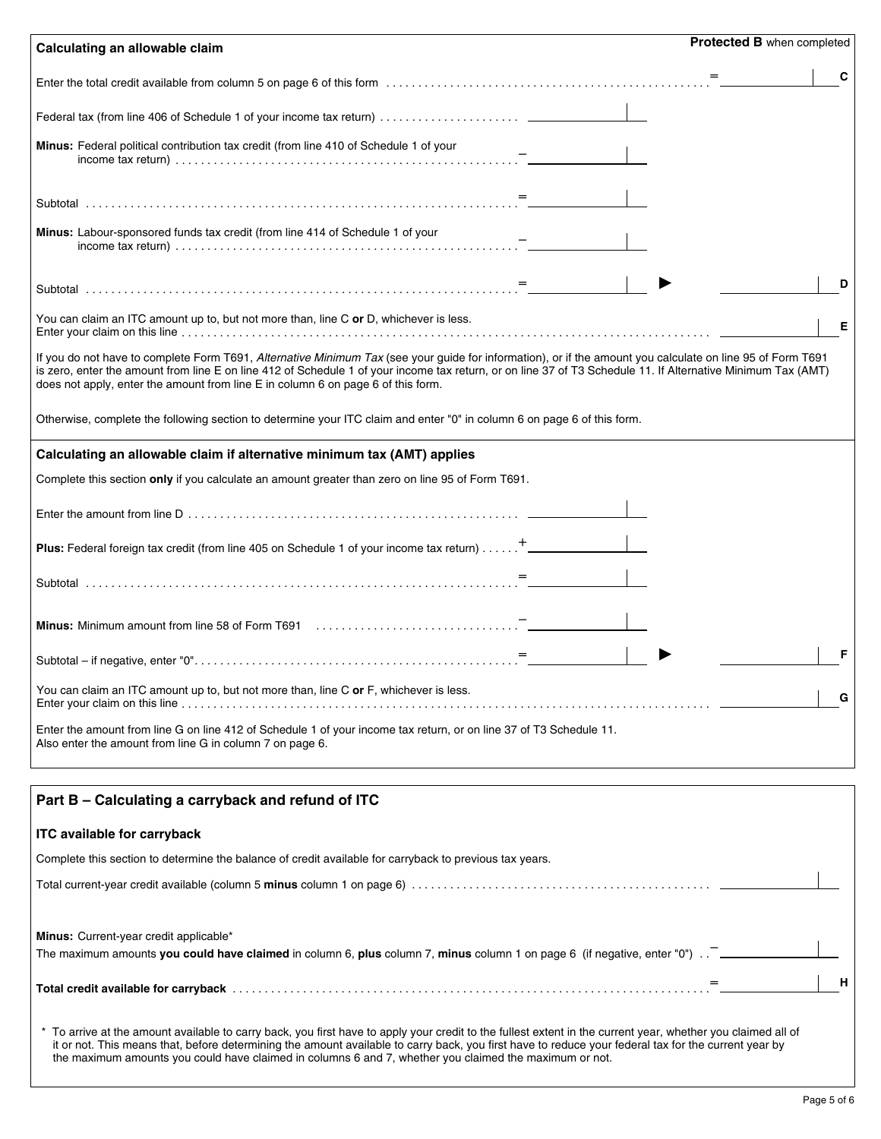| Calculating an allowable claim                                                                                                                                                                                                                                                                                                                                                                                 | <b>Protected B when completed</b> |
|----------------------------------------------------------------------------------------------------------------------------------------------------------------------------------------------------------------------------------------------------------------------------------------------------------------------------------------------------------------------------------------------------------------|-----------------------------------|
|                                                                                                                                                                                                                                                                                                                                                                                                                | $=$                               |
|                                                                                                                                                                                                                                                                                                                                                                                                                |                                   |
| <b>Minus:</b> Federal political contribution tax credit (from line 410 of Schedule 1 of your                                                                                                                                                                                                                                                                                                                   |                                   |
|                                                                                                                                                                                                                                                                                                                                                                                                                |                                   |
| <b>Minus:</b> Labour-sponsored funds tax credit (from line 414 of Schedule 1 of your                                                                                                                                                                                                                                                                                                                           |                                   |
|                                                                                                                                                                                                                                                                                                                                                                                                                | n                                 |
| You can claim an ITC amount up to, but not more than, line C or D, whichever is less.                                                                                                                                                                                                                                                                                                                          | Е                                 |
| If you do not have to complete Form T691, Alternative Minimum Tax (see your guide for information), or if the amount you calculate on line 95 of Form T691<br>is zero, enter the amount from line E on line 412 of Schedule 1 of your income tax return, or on line 37 of T3 Schedule 11. If Alternative Minimum Tax (AMT)<br>does not apply, enter the amount from line E in column 6 on page 6 of this form. |                                   |
| Otherwise, complete the following section to determine your ITC claim and enter "0" in column 6 on page 6 of this form.                                                                                                                                                                                                                                                                                        |                                   |
| Calculating an allowable claim if alternative minimum tax (AMT) applies                                                                                                                                                                                                                                                                                                                                        |                                   |
| Complete this section only if you calculate an amount greater than zero on line 95 of Form T691.                                                                                                                                                                                                                                                                                                               |                                   |
|                                                                                                                                                                                                                                                                                                                                                                                                                |                                   |
| Plus: Federal foreign tax credit (from line 405 on Schedule 1 of your income tax return) <sup>+</sup>                                                                                                                                                                                                                                                                                                          |                                   |
|                                                                                                                                                                                                                                                                                                                                                                                                                |                                   |
|                                                                                                                                                                                                                                                                                                                                                                                                                |                                   |
|                                                                                                                                                                                                                                                                                                                                                                                                                |                                   |
| You can claim an ITC amount up to, but not more than, line C or F, whichever is less.                                                                                                                                                                                                                                                                                                                          | G                                 |
| Enter the amount from line G on line 412 of Schedule 1 of your income tax return, or on line 37 of T3 Schedule 11.<br>Also enter the amount from line G in column 7 on page 6.                                                                                                                                                                                                                                 |                                   |
| Part B - Calculating a carryback and refund of ITC                                                                                                                                                                                                                                                                                                                                                             |                                   |
| <b>ITC available for carryback</b>                                                                                                                                                                                                                                                                                                                                                                             |                                   |
| Complete this section to determine the balance of credit available for carryback to previous tax years.                                                                                                                                                                                                                                                                                                        |                                   |
|                                                                                                                                                                                                                                                                                                                                                                                                                |                                   |
| Minus: Current-year credit applicable*<br>The maximum amounts you could have claimed in column 6, plus column 7, minus column 1 on page 6 (if negative, enter "0") $\ldots$                                                                                                                                                                                                                                    |                                   |
|                                                                                                                                                                                                                                                                                                                                                                                                                | н                                 |

\* To arrive at the amount available to carry back, you first have to apply your credit to the fullest extent in the current year, whether you claimed all of it or not. This means that, before determining the amount available to carry back, you first have to reduce your federal tax for the current year by the maximum amounts you could have claimed in columns 6 and 7, whether you claimed the maximum or not.